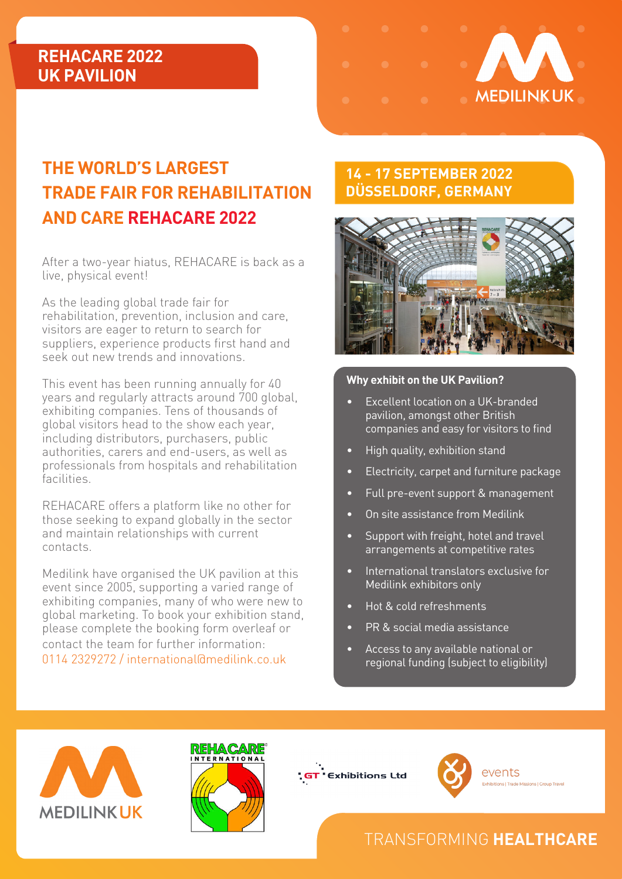### **REHACARE 2022 UK PAVILION**



# **THE WORLD'S LARGEST TRADE FAIR FOR REHABILITATION AND CARE REHACARE 2022**

After a two-year hiatus, REHACARE is back as a live, physical event!

As the leading global trade fair for rehabilitation, prevention, inclusion and care, visitors are eager to return to search for suppliers, experience products first hand and seek out new trends and innovations.

This event has been running annually for 40 years and regularly attracts around 700 global, exhibiting companies. Tens of thousands of global visitors head to the show each year, including distributors, purchasers, public authorities, carers and end-users, as well as professionals from hospitals and rehabilitation facilities.

REHACARE offers a platform like no other for those seeking to expand globally in the sector and maintain relationships with current contacts.

Medilink have organised the UK pavilion at this event since 2005, supporting a varied range of exhibiting companies, many of who were new to global marketing. To book your exhibition stand, please complete the booking form overleaf or contact the team for further information: 0114 2329272 / international@medilink.co.uk

#### **14 - 17 SEPTEMBER 2022 DÜSSELDORF, GERMANY**



#### **Why exhibit on the UK Pavilion?**

- Excellent location on a UK-branded pavilion, amongst other British companies and easy for visitors to find
- High quality, exhibition stand
- Electricity, carpet and furniture package
- Full pre-event support & management
- On site assistance from Medilink
- Support with freight, hotel and travel arrangements at competitive rates
- International translators exclusive for Medilink exhibitors only
- Hot & cold refreshments
- PR & social media assistance
- Access to any available national or regional funding (subject to eligibility)









events **Exhibitions | Trade Missions | Group Travel** 

## TRANSFORMING **HEALTHCARE**